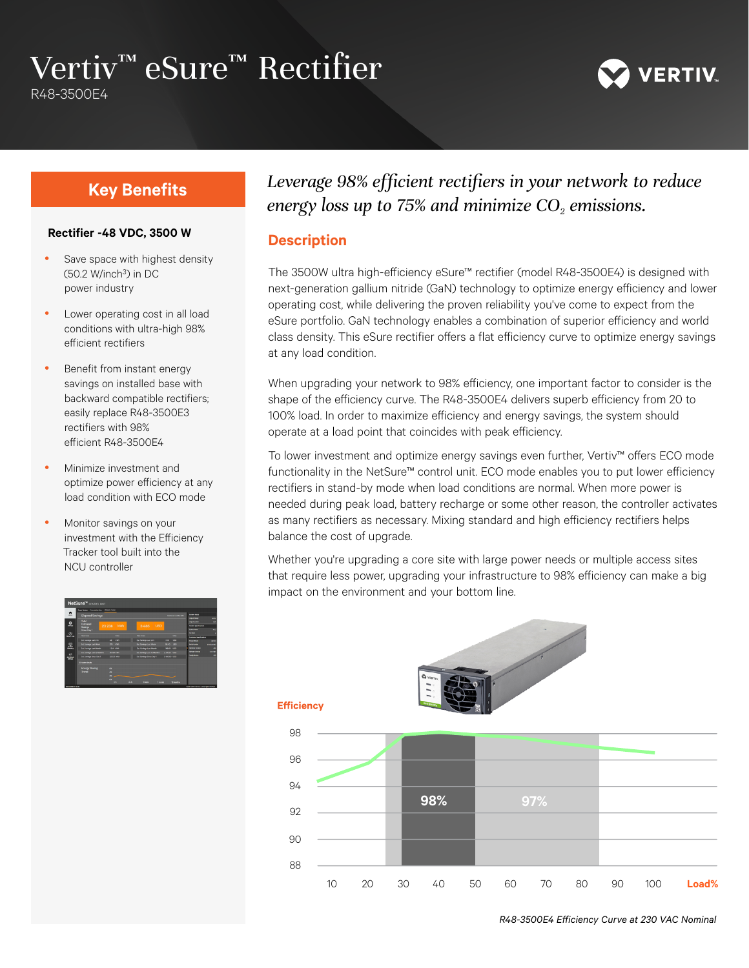# Vertiv™ eSure™ Rectifier

R48-3500E4



#### **Rectifier -48 VDC, 3500 W**

- Save space with highest density (50.2 W/inch3) in DC power industry
- Lower operating cost in all load conditions with ultra-high 98% efficient rectifiers
- Benefit from instant energy savings on installed base with backward compatible rectifiers; easily replace R48-3500E3 rectifiers with 98% efficient R48-3500E4
- Minimize investment and optimize power efficiency at any load condition with ECO mode
- Monitor savings on your investment with the Efficiency Tracker tool built into the NCU controller



# **Key Benefits** *Leverage 98% efficient rectifiers in your network to reduce energy loss up to 75% and minimize CO<sub>2</sub> emissions.*

#### **Description**

The 3500W ultra high-efficiency eSure™ rectifier (model R48-3500E4) is designed with next-generation gallium nitride (GaN) technology to optimize energy efficiency and lower operating cost, while delivering the proven reliability you've come to expect from the eSure portfolio. GaN technology enables a combination of superior efficiency and world class density. This eSure rectifier offers a flat efficiency curve to optimize energy savings at any load condition.

When upgrading your network to 98% efficiency, one important factor to consider is the shape of the efficiency curve. The R48-3500E4 delivers superb efficiency from 20 to 100% load. In order to maximize efficiency and energy savings, the system should operate at a load point that coincides with peak efficiency.

To lower investment and optimize energy savings even further, Vertiv™ offers ECO mode functionality in the NetSure™ control unit. ECO mode enables you to put lower efficiency rectifiers in stand-by mode when load conditions are normal. When more power is needed during peak load, battery recharge or some other reason, the controller activates as many rectifiers as necessary. Mixing standard and high efficiency rectifiers helps balance the cost of upgrade.

Whether you're upgrading a core site with large power needs or multiple access sites that require less power, upgrading your infrastructure to 98% efficiency can make a big impact on the environment and your bottom line.